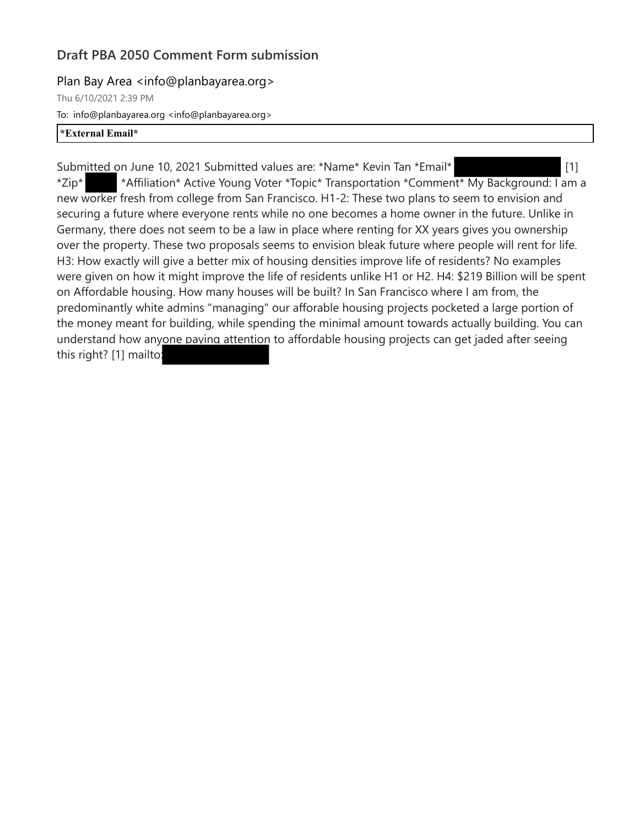## **Draft PBA 2050 Comment Form submission**

Plan Bay Area <info@planbayarea.org>

Thu 6/10/2021 2:39 PM To: info@planbayarea.org <info@planbayarea.org> **\*External Email\***

Submitted on June 10, 2021 Submitted values are: \*Name\* Kevin Tan \*Email\* [1] \*Zip\* \*Affiliation\* Active Young Voter \*Topic\* Transportation \*Comment\* My Background: I am a new worker fresh from college from San Francisco. H1-2: These two plans to seem to envision and securing a future where everyone rents while no one becomes a home owner in the future. Unlike in Germany, there does not seem to be a law in place where renting for XX years gives you ownership over the property. These two proposals seems to envision bleak future where people will rent for life. H3: How exactly will give a better mix of housing densities improve life of residents? No examples were given on how it might improve the life of residents unlike H1 or H2. H4: \$219 Billion will be spent on Affordable housing. How many houses will be built? In San Francisco where I am from, the predominantly white admins "managing" our afforable housing projects pocketed a large portion of the money meant for building, while spending the minimal amount towards actually building. You can understand how anyone paying attention to affordable housing projects can get jaded after seeing this right? [1] mailto: